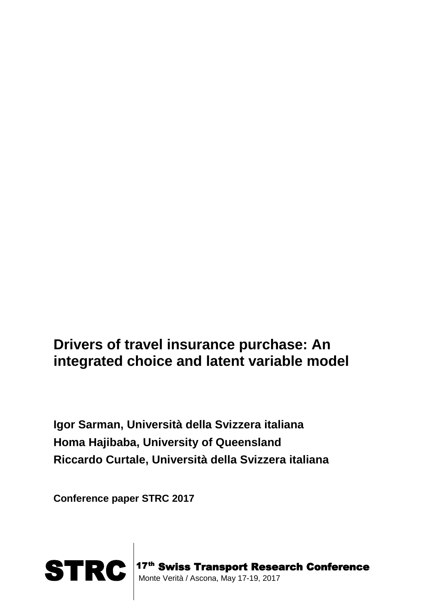# **Drivers of travel insurance purchase: An integrated choice and latent variable model**

**Igor Sarman, Università della Svizzera italiana Homa Hajibaba, University of Queensland Riccardo Curtale, Università della Svizzera italiana**

**Conference paper STRC 2017**



 17<sup>th</sup> Swiss Transport Research Conference Monte Verità / Ascona, May 17-19, 2017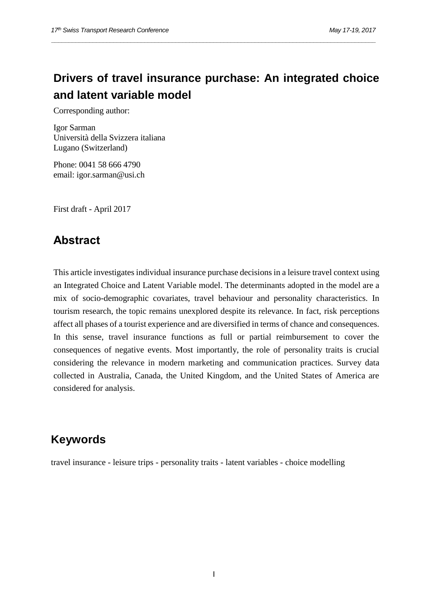## **Drivers of travel insurance purchase: An integrated choice and latent variable model**

*\_\_\_\_\_\_\_\_\_\_\_\_\_\_\_\_\_\_\_\_\_\_\_\_\_\_\_\_\_\_\_\_\_\_\_\_\_\_\_\_\_\_\_\_\_\_\_\_\_\_\_\_\_\_\_\_\_\_\_\_\_\_\_\_\_\_\_\_\_\_\_\_\_\_\_\_\_\_\_\_\_\_\_\_\_\_\_\_\_\_\_\_\_\_*

Corresponding author:

Igor Sarman Università della Svizzera italiana Lugano (Switzerland)

Phone: 0041 58 666 4790 email: igor.sarman@usi.ch

First draft - April 2017

## **Abstract**

This article investigates individual insurance purchase decisions in a leisure travel context using an Integrated Choice and Latent Variable model. The determinants adopted in the model are a mix of socio-demographic covariates, travel behaviour and personality characteristics. In tourism research, the topic remains unexplored despite its relevance. In fact, risk perceptions affect all phases of a tourist experience and are diversified in terms of chance and consequences. In this sense, travel insurance functions as full or partial reimbursement to cover the consequences of negative events. Most importantly, the role of personality traits is crucial considering the relevance in modern marketing and communication practices. Survey data collected in Australia, Canada, the United Kingdom, and the United States of America are considered for analysis.

### **Keywords**

travel insurance - leisure trips - personality traits - latent variables - choice modelling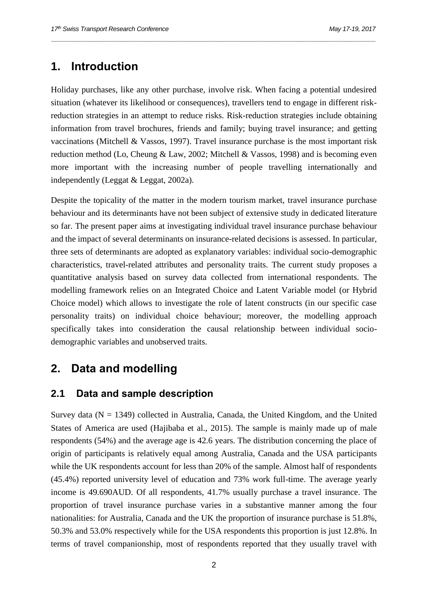## **1. Introduction**

Holiday purchases, like any other purchase, involve risk. When facing a potential undesired situation (whatever its likelihood or consequences), travellers tend to engage in different riskreduction strategies in an attempt to reduce risks. Risk-reduction strategies include obtaining information from travel brochures, friends and family; buying travel insurance; and getting vaccinations (Mitchell & Vassos, 1997). Travel insurance purchase is the most important risk reduction method (Lo, Cheung & Law, 2002; Mitchell & Vassos, 1998) and is becoming even more important with the increasing number of people travelling internationally and independently (Leggat & Leggat, 2002a).

*\_\_\_\_\_\_\_\_\_\_\_\_\_\_\_\_\_\_\_\_\_\_\_\_\_\_\_\_\_\_\_\_\_\_\_\_\_\_\_\_\_\_\_\_\_\_\_\_\_\_\_\_\_\_\_\_\_\_\_\_\_\_\_\_\_\_\_\_\_\_\_\_\_\_\_\_\_\_\_\_\_\_\_\_\_\_\_\_\_\_\_\_\_\_*

Despite the topicality of the matter in the modern tourism market, travel insurance purchase behaviour and its determinants have not been subject of extensive study in dedicated literature so far. The present paper aims at investigating individual travel insurance purchase behaviour and the impact of several determinants on insurance-related decisions is assessed. In particular, three sets of determinants are adopted as explanatory variables: individual socio-demographic characteristics, travel-related attributes and personality traits. The current study proposes a quantitative analysis based on survey data collected from international respondents. The modelling framework relies on an Integrated Choice and Latent Variable model (or Hybrid Choice model) which allows to investigate the role of latent constructs (in our specific case personality traits) on individual choice behaviour; moreover, the modelling approach specifically takes into consideration the causal relationship between individual sociodemographic variables and unobserved traits.

## **2. Data and modelling**

#### **2.1 Data and sample description**

Survey data ( $N = 1349$ ) collected in Australia, Canada, the United Kingdom, and the United States of America are used (Hajibaba et al., 2015). The sample is mainly made up of male respondents (54%) and the average age is 42.6 years. The distribution concerning the place of origin of participants is relatively equal among Australia, Canada and the USA participants while the UK respondents account for less than 20% of the sample. Almost half of respondents (45.4%) reported university level of education and 73% work full-time. The average yearly income is 49.690AUD. Of all respondents, 41.7% usually purchase a travel insurance. The proportion of travel insurance purchase varies in a substantive manner among the four nationalities: for Australia, Canada and the UK the proportion of insurance purchase is 51.8%, 50.3% and 53.0% respectively while for the USA respondents this proportion is just 12.8%. In terms of travel companionship, most of respondents reported that they usually travel with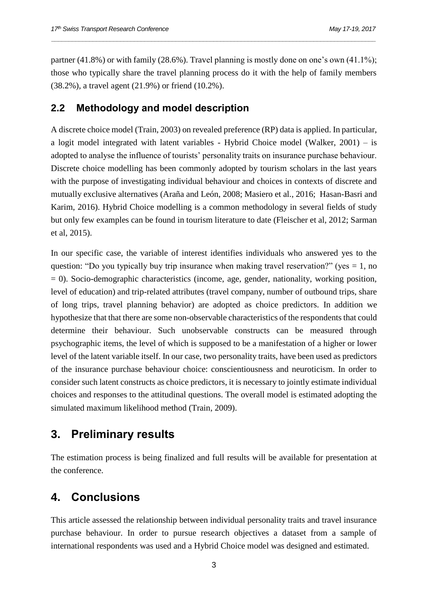partner  $(41.8\%)$  or with family  $(28.6\%)$ . Travel planning is mostly done on one's own  $(41.1\%)$ ; those who typically share the travel planning process do it with the help of family members (38.2%), a travel agent (21.9%) or friend (10.2%).

*\_\_\_\_\_\_\_\_\_\_\_\_\_\_\_\_\_\_\_\_\_\_\_\_\_\_\_\_\_\_\_\_\_\_\_\_\_\_\_\_\_\_\_\_\_\_\_\_\_\_\_\_\_\_\_\_\_\_\_\_\_\_\_\_\_\_\_\_\_\_\_\_\_\_\_\_\_\_\_\_\_\_\_\_\_\_\_\_\_\_\_\_\_\_*

#### **2.2 Methodology and model description**

A discrete choice model (Train, 2003) on revealed preference (RP) data is applied. In particular, a logit model integrated with latent variables - Hybrid Choice model (Walker, 2001) – is adopted to analyse the influence of tourists' personality traits on insurance purchase behaviour. Discrete choice modelling has been commonly adopted by tourism scholars in the last years with the purpose of investigating individual behaviour and choices in contexts of discrete and mutually exclusive alternatives (Araña and León, 2008; Masiero et al., 2016; Hasan-Basri and Karim, 2016). Hybrid Choice modelling is a common methodology in several fields of study but only few examples can be found in tourism literature to date (Fleischer et al, 2012; Sarman et al, 2015).

In our specific case, the variable of interest identifies individuals who answered yes to the question: "Do you typically buy trip insurance when making travel reservation?" (yes  $= 1$ , no  $= 0$ ). Socio-demographic characteristics (income, age, gender, nationality, working position, level of education) and trip-related attributes (travel company, number of outbound trips, share of long trips, travel planning behavior) are adopted as choice predictors. In addition we hypothesize that that there are some non-observable characteristics of the respondents that could determine their behaviour. Such unobservable constructs can be measured through psychographic items, the level of which is supposed to be a manifestation of a higher or lower level of the latent variable itself. In our case, two personality traits, have been used as predictors of the insurance purchase behaviour choice: conscientiousness and neuroticism. In order to consider such latent constructs as choice predictors, it is necessary to jointly estimate individual choices and responses to the attitudinal questions. The overall model is estimated adopting the simulated maximum likelihood method (Train, 2009).

#### **3. Preliminary results**

The estimation process is being finalized and full results will be available for presentation at the conference.

#### **4. Conclusions**

This article assessed the relationship between individual personality traits and travel insurance purchase behaviour. In order to pursue research objectives a dataset from a sample of international respondents was used and a Hybrid Choice model was designed and estimated.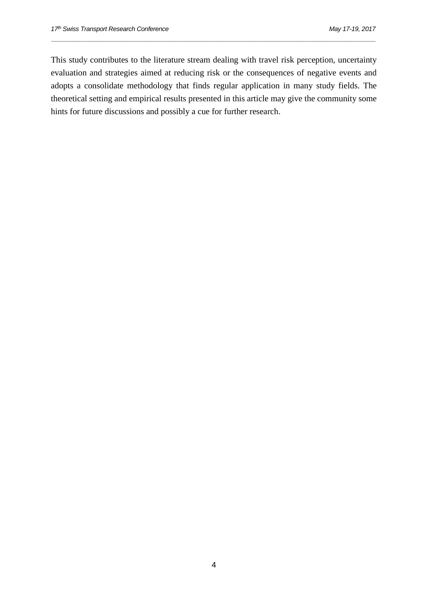This study contributes to the literature stream dealing with travel risk perception, uncertainty evaluation and strategies aimed at reducing risk or the consequences of negative events and adopts a consolidate methodology that finds regular application in many study fields. The theoretical setting and empirical results presented in this article may give the community some hints for future discussions and possibly a cue for further research.

*\_\_\_\_\_\_\_\_\_\_\_\_\_\_\_\_\_\_\_\_\_\_\_\_\_\_\_\_\_\_\_\_\_\_\_\_\_\_\_\_\_\_\_\_\_\_\_\_\_\_\_\_\_\_\_\_\_\_\_\_\_\_\_\_\_\_\_\_\_\_\_\_\_\_\_\_\_\_\_\_\_\_\_\_\_\_\_\_\_\_\_\_\_\_*